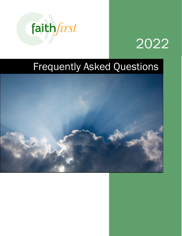



# Frequently Asked Questions

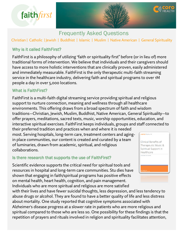

# Frequently Asked Questions

Christian | Catholic | Jewish | Buddhist | Islamic | Muslim | Native American | General Spirituality

## Why is it called FaithFirst?

FaithFirst is a philosophy of utilizing "faith or spirituality first" before (or in lieu of) more traditional forms of intervention. We believe that individuals and their caregivers should have access to more holistic interventions that are clinically proven, easily administered and immediately measurable. FaithFirst is the only therapeutic multi-faith streaming service in the healthcare industry, delivering faith and spiritual programs to over 1M people a day in over 5,000 locations.

#### What is FaithFirst?

FaithFirst is a multi-faith digital streaming service providing spiritual and religious support to nurture connection, meaning and wellness through all healthcare environments. This offering draws from a broad spectrum of faith and wisdom traditions—Christian, Jewish, Muslim, Buddhist, Native American, General Spirituality—to offer prayers, meditations, sacred texts, music, worship opportunities, education, and interactive spiritual exercises. FaithFirst keeps individuals, groups and staff connected to

their preferred tradition and practices when and where it is needed most. Serving hospitals, long-term care, treatment centers and agingin place communities, our content is created and curated by a team of luminaries, drawn from academic, spiritual, and religious collaborations.

## Is there research that supports the use of FaithFirst?

Scientific evidence supports the critical need for spiritual tools and resources in hospital and long-term care communities. Stu dies have shown that engaging in faith/spiritual programs has positive effects on mental health, heart health, cognition, and pain management. Individuals who are more spiritual and religious are more satisfied

with their lives and have fewer suicidal thoughts, less depression, and less tendency to abuse drugs or alcohol. They are found to have a better quality of life and less distress about mortality. One study reported that cognitive symptoms associated with Alzheimer's disease progress at a slower rate in patients who are more religious and spiritual compared to those who are less so. One possibility for these findings is that the repetition of prayers and rituals involved in religion and spirituality facilitates attention,



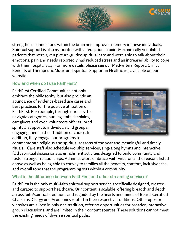

strengthens connections within the brain and improves memory in these individuals. Spiritual support is also associated with a reduction in pain. Mechanically ventilated patients that were given picture-guided spiritual care and were able to talk about their emotions, pain and needs reportedly had reduced stress and an increased ability to cope with their hospital stay. For more details, please see our Medwriters Report: Clinical Benefits of Therapeutic Music and Spiritual Support in Healthcare, available on our website.

## How and when do I use FaithFirst?

FaithFirst Certified Communities not only embrace the philosophy, but also provide an abundance of evidence-based use cases and best practices for the positive utilization of FaithFirst. For example, through our easy-tonavigate categories, nursing staff, chaplains, caregivers and even volunteers offer tailored spiritual support to individuals and groups, engaging them in their tradition of choice. In addition, they engage our programs to



commemorate religious and spiritual seasons of the year and meaningful and timely rituals. Care staff also schedule worship services, sing-along hymns and interactive faith/spiritual discussions as enrichment activities designed to build community and foster stronger relationships. Administrators embrace FaithFirst for all the reasons listed above as well as being able to convey to families all the benefits, comfort, inclusiveness, and overall tone that the programming sets within a community.

## What is the difference between FaithFirst and other streaming services?

FaithFirst is the only multi-faith spiritual support service specifically designed, created, and curated to support healthcare. Our content is scalable, offering breadth and depth across faith/spiritual traditions and is guided by the hearts and minds of Board-Certified Chaplains, Clergy and Academics rooted in their respective traditions. Other apps or websites are siloed in only one tradition, offer no opportunities for broader, interactive group discussions, and are limited in their content sources. These solutions cannot meet the existing needs of diverse spiritual paths.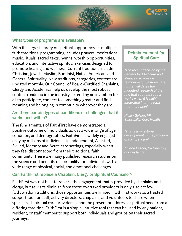

#### What types of programs are available?

With the largest library of spiritual support across multiple faith traditions, programming includes prayers, meditations, music, rituals, sacred texts, hymns, worship opportunities, education, and interactive spiritual exercises designed to promote healing and wellness. Current traditions include Christian, Jewish, Muslim, Buddhist, Native American, and General Spirituality. New traditions, categories, content are updated monthly. Our Council of Board-Certified Chaplains, Clergy and Academics help us develop the most robust content roadmap in the industry, extending an invitation for all to participate, connect to something greater and find meaning and belonging in community wherever they are.

#### Are there certain types of conditions or challenges that it works best within?

The fundamentals of FaithFirst have demonstrated a positive outcome of individuals across a wide range of age, condition, and demographics. FaithFirst is widely engaged daily by millions of individuals in Independent, Assisted, Skilled, Memory and Acute care settings, especially when they feel disconnected from their traditional faith community. There are many published research studies on the science and benefits of spirituality for individuals with a wide range of physical, social, and emotional challenges.

#### Reimbursement for Spiritual Care

i

*"The recent decision by the Centers for Medicare and Medicaid to provide reimburse for pastoral care further validates the mounting research of the role that spiritual support works when it is highly integrated into the total treatment plan"* 

*Hillary Geisler, VP Spirituality, Coro Health*

*"This is a milestone development in the provision of spiritual care"* 

*Juliana Lesher, VA Directory of Chaplaincy* 

## Can FaithFirst replace a Chaplain, Clergy or Spiritual Counselor?

FaithFirst was not built to replace the engagement that is provided by chaplains and clergy, but as visits diminish from these overtaxed providers in only a select few faith/wisdom traditions, those opportunities are limited. FaithFirst works as a trusted support tool for staff, activity directors, chaplains, and volunteers to share when specialized spiritual care providers cannot be present or address a spiritual need from a differing tradition. FaithFirst is a simple, intuitive tool that can be used by any patient, resident, or staff member to support both individuals and groups on their sacred journeys.